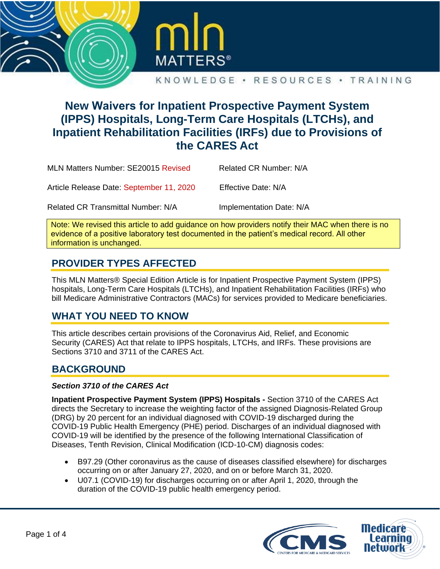



#### KNOWLEDGE • RESOURCES • TRAINING

# **New Waivers for Inpatient Prospective Payment System (IPPS) Hospitals, Long-Term Care Hospitals (LTCHs), and Inpatient Rehabilitation Facilities (IRFs) due to Provisions of the CARES Act**

| MLN Matters Number: SE20015 Revised       | Related CR Number: N/A   |
|-------------------------------------------|--------------------------|
| Article Release Date: September 11, 2020  | Effective Date: N/A      |
| <b>Related CR Transmittal Number: N/A</b> | Implementation Date: N/A |

Note: We revised this article to add guidance on how providers notify their MAC when there is no evidence of a positive laboratory test documented in the patient's medical record. All other information is unchanged.

## **PROVIDER TYPES AFFECTED**

This MLN Matters® Special Edition Article is for Inpatient Prospective Payment System (IPPS) hospitals, Long-Term Care Hospitals (LTCHs), and Inpatient Rehabilitation Facilities (IRFs) who bill Medicare Administrative Contractors (MACs) for services provided to Medicare beneficiaries.

#### **WHAT YOU NEED TO KNOW**

This article describes certain provisions of the Coronavirus Aid, Relief, and Economic Security (CARES) Act that relate to IPPS hospitals, LTCHs, and IRFs. These provisions are Sections 3710 and 3711 of the CARES Act.

### **BACKGROUND**

#### *Section 3710 of the CARES Act*

**Inpatient Prospective Payment System (IPPS) Hospitals -** Section 3710 of the CARES Act directs the Secretary to increase the weighting factor of the assigned Diagnosis-Related Group (DRG) by 20 percent for an individual diagnosed with COVID-19 discharged during the COVID-19 Public Health Emergency (PHE) period. Discharges of an individual diagnosed with COVID-19 will be identified by the presence of the following International Classification of Diseases, Tenth Revision, Clinical Modification (ICD-10-CM) diagnosis codes:

- B97.29 (Other coronavirus as the cause of diseases classified elsewhere) for discharges occurring on or after January 27, 2020, and on or before March 31, 2020.
- U07.1 (COVID-19) for discharges occurring on or after April 1, 2020, through the duration of the COVID-19 public health emergency period.

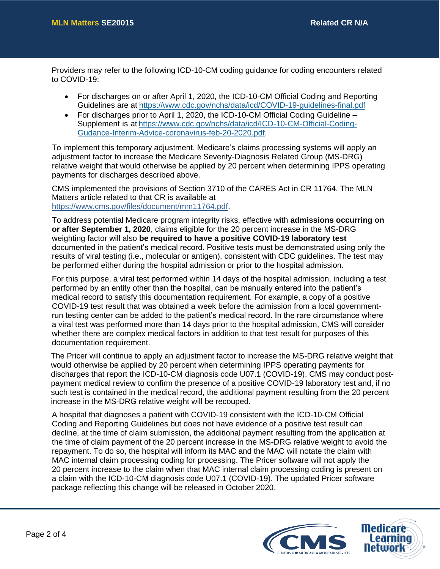Providers may refer to the following ICD-10-CM coding guidance for coding encounters related to COVID-19:

- For discharges on or after April 1, 2020, the ICD-10-CM Official Coding and Reporting Guidelines are a[t https://www.cdc.gov/nchs/data/icd/COVID-19-guidelines-final.pdf](https://www.cdc.gov/nchs/data/icd/COVID-19-guidelines-final.pdf)
- For discharges prior to April 1, 2020, the ICD-10-CM Official Coding Guideline Supplement is at [https://www.cdc.gov/nchs/data/icd/ICD-10-CM-Official-Coding-](https://www.cdc.gov/nchs/data/icd/ICD-10-CM-Official-Coding-Gudance-Interim-Advice-coronavirus-feb-20-2020.pdf)[Gudance-Interim-Advice-coronavirus-feb-20-2020.pdf.](https://www.cdc.gov/nchs/data/icd/ICD-10-CM-Official-Coding-Gudance-Interim-Advice-coronavirus-feb-20-2020.pdf)

To implement this temporary adjustment, Medicare's claims processing systems will apply an adjustment factor to increase the Medicare Severity-Diagnosis Related Group (MS-DRG) relative weight that would otherwise be applied by 20 percent when determining IPPS operating payments for discharges described above.

CMS implemented the provisions of Section 3710 of the CARES Act in CR 11764. The MLN Matters article related to that CR is available at [https://www.cms.gov/files/document/mm11764.pdf.](https://www.cms.gov/files/document/mm11764.pdf)

To address potential Medicare program integrity risks, effective with **admissions occurring on or after September 1, 2020**, claims eligible for the 20 percent increase in the MS-DRG weighting factor will also **be required to have a positive COVID-19 laboratory test** documented in the patient's medical record. Positive tests must be demonstrated using only the results of viral testing (i.e., molecular or antigen), consistent with CDC guidelines. The test may be performed either during the hospital admission or prior to the hospital admission.

For this purpose, a viral test performed within 14 days of the hospital admission, including a test performed by an entity other than the hospital, can be manually entered into the patient's medical record to satisfy this documentation requirement. For example, a copy of a positive COVID-19 test result that was obtained a week before the admission from a local governmentrun testing center can be added to the patient's medical record. In the rare circumstance where a viral test was performed more than 14 days prior to the hospital admission, CMS will consider whether there are complex medical factors in addition to that test result for purposes of this documentation requirement.

The Pricer will continue to apply an adjustment factor to increase the MS-DRG relative weight that would otherwise be applied by 20 percent when determining IPPS operating payments for discharges that report the ICD-10-CM diagnosis code U07.1 (COVID-19). CMS may conduct postpayment medical review to confirm the presence of a positive COVID-19 laboratory test and, if no such test is contained in the medical record, the additional payment resulting from the 20 percent increase in the MS-DRG relative weight will be recouped.

A hospital that diagnoses a patient with COVID-19 consistent with the ICD-10-CM Official Coding and Reporting Guidelines but does not have evidence of a positive test result can decline, at the time of claim submission, the additional payment resulting from the application at the time of claim payment of the 20 percent increase in the MS-DRG relative weight to avoid the repayment. To do so, the hospital will inform its MAC and the MAC will notate the claim with MAC internal claim processing coding for processing. The Pricer software will not apply the 20 percent increase to the claim when that MAC internal claim processing coding is present on a claim with the ICD-10-CM diagnosis code U07.1 (COVID-19). The updated Pricer software package reflecting this change will be released in October 2020.

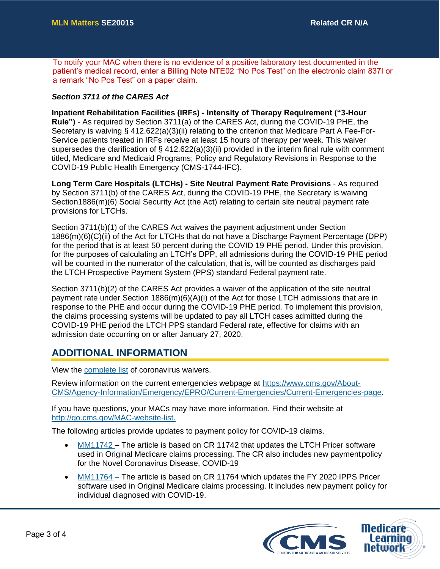To notify your MAC when there is no evidence of a positive laboratory test documented in the patient's medical record, enter a Billing Note NTE02 "No Pos Test" on the electronic claim 837I or a remark "No Pos Test" on a paper claim.

#### *Section 3711 of the CARES Act*

**Inpatient Rehabilitation Facilities (IRFs) - Intensity of Therapy Requirement ("3-Hour Rule")** - As required by Section 3711(a) of the CARES Act, during the COVID-19 PHE, the Secretary is waiving § 412.622(a)(3)(ii) relating to the criterion that Medicare Part A Fee-For-Service patients treated in IRFs receive at least 15 hours of therapy per week. This waiver supersedes the clarification of  $\S 412.622(a)(3)(ii)$  provided in the interim final rule with comment titled, Medicare and Medicaid Programs; Policy and Regulatory Revisions in Response to the COVID-19 Public Health Emergency (CMS-1744-IFC).

**Long Term Care Hospitals (LTCHs) - Site Neutral Payment Rate Provisions** - As required by Section 3711(b) of the CARES Act, during the COVID-19 PHE, the Secretary is waiving Section1886(m)(6) Social Security Act (the Act) relating to certain site neutral payment rate provisions for LTCHs.

Section 3711(b)(1) of the CARES Act waives the payment adjustment under Section 1886(m)(6)(C)(ii) of the Act for LTCHs that do not have a Discharge Payment Percentage (DPP) for the period that is at least 50 percent during the COVID 19 PHE period. Under this provision, for the purposes of calculating an LTCH's DPP, all admissions during the COVID-19 PHE period will be counted in the numerator of the calculation, that is, will be counted as discharges paid the LTCH Prospective Payment System (PPS) standard Federal payment rate.

Section 3711(b)(2) of the CARES Act provides a waiver of the application of the site neutral payment rate under Section 1886(m)(6)(A)(i) of the Act for those LTCH admissions that are in response to the PHE and occur during the COVID-19 PHE period. To implement this provision, the claims processing systems will be updated to pay all LTCH cases admitted during the COVID-19 PHE period the LTCH PPS standard Federal rate, effective for claims with an admission date occurring on or after January 27, 2020.

### **ADDITIONAL INFORMATION**

View the [complete list o](https://www.cms.gov/about-cms/emergency-preparedness-response-operations/current-emergencies/coronavirus-waivers)f coronavirus waivers.

Review information on the current emergencies webpage at [https://www.cms.gov/About-](https://www.cms.gov/About-CMS/Agency-Information/Emergency/EPRO/Current-Emergencies/Current-Emergencies-page)[CMS/Agency-Information/Emergency/EPRO/Current-Emergencies/Current-Emergencies-page.](https://www.cms.gov/About-CMS/Agency-Information/Emergency/EPRO/Current-Emergencies/Current-Emergencies-page)

If you have questions, your MACs may have more information. Find their website at [http://go.cms.gov/MAC-website-list.](http://go.cms.gov/MAC-website-list)

The following articles provide updates to payment policy for COVID-19 claims.

- [MM11742](https://www.cms.gov/files/document/mm11742.pdf) The article is based on CR 11742 that updates the LTCH Pricer software used in Original Medicare claims processing. The CR also includes new payment policy for the Novel Coronavirus Disease, COVID-19
- [MM11764 –](https://www.cms.gov/files/document/mm11764.pdf) The article is based on CR 11764 which updates the FY 2020 IPPS Pricer software used in Original Medicare claims processing. It includes new payment policy for individual diagnosed with COVID-19.